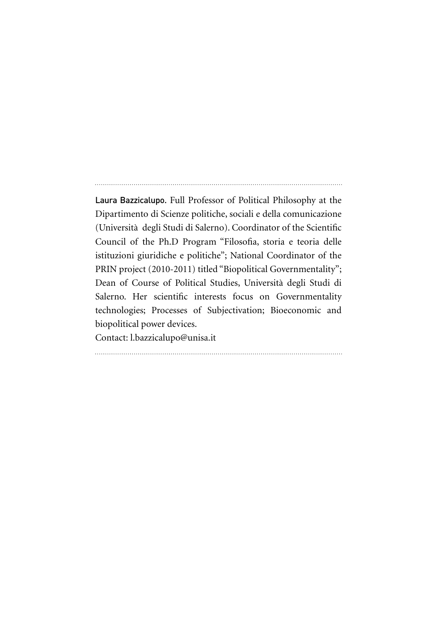Laura Bazzicalupo. Full Professor of Political Philosophy at the Dipartimento di Scienze politiche, sociali e della comunicazione (Università degli Studi di Salerno). Coordinator of the Scientific Council of the Ph.D Program "Filosofia, storia e teoria delle istituzioni giuridiche e politiche"; National Coordinator of the PRIN project (2010-2011) titled "Biopolitical Governmentality"; Dean of Course of Political Studies, Università degli Studi di Salerno. Her scientific interests focus on Governmentality technologies; Processes of Subjectivation; Bioeconomic and biopolitical power devices.

Contact: l.bazzicalupo@unisa.it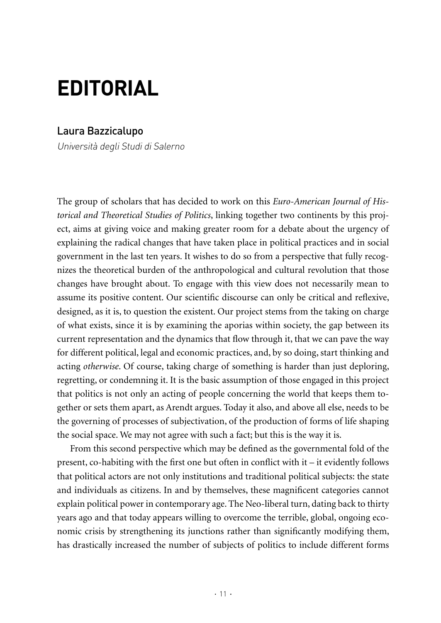## **EDITORIAL**

## Laura Bazzicalupo

Università degli Studi di Salerno

The group of scholars that has decided to work on this *Euro-American Journal of Historical and Theoretical Studies of Politics*, linking together two continents by this project, aims at giving voice and making greater room for a debate about the urgency of explaining the radical changes that have taken place in political practices and in social government in the last ten years. It wishes to do so from a perspective that fully recognizes the theoretical burden of the anthropological and cultural revolution that those changes have brought about. To engage with this view does not necessarily mean to assume its positive content. Our scientific discourse can only be critical and reflexive, designed, as it is, to question the existent. Our project stems from the taking on charge of what exists, since it is by examining the aporias within society, the gap between its current representation and the dynamics that flow through it, that we can pave the way for different political, legal and economic practices, and, by so doing, start thinking and acting *otherwise*. Of course, taking charge of something is harder than just deploring, regretting, or condemning it. It is the basic assumption of those engaged in this project that politics is not only an acting of people concerning the world that keeps them together or sets them apart, as Arendt argues. Today it also, and above all else, needs to be the governing of processes of subjectivation, of the production of forms of life shaping the social space. We may not agree with such a fact; but this is the way it is.

From this second perspective which may be defined as the governmental fold of the present, co-habiting with the first one but often in conflict with it – it evidently follows that political actors are not only institutions and traditional political subjects: the state and individuals as citizens. In and by themselves, these magnificent categories cannot explain political power in contemporary age. The Neo-liberal turn, dating back to thirty years ago and that today appears willing to overcome the terrible, global, ongoing economic crisis by strengthening its junctions rather than significantly modifying them, has drastically increased the number of subjects of politics to include different forms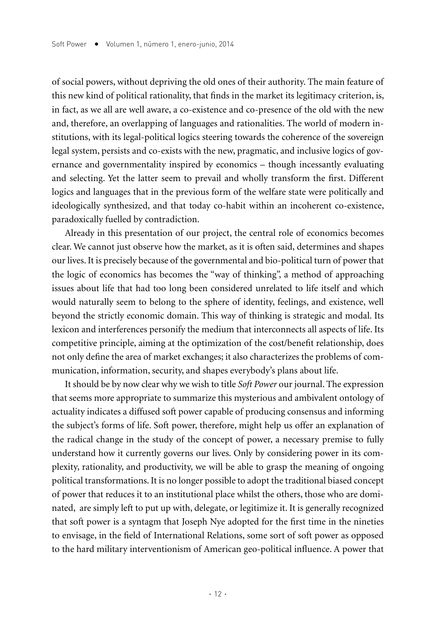of social powers, without depriving the old ones of their authority. The main feature of this new kind of political rationality, that finds in the market its legitimacy criterion, is, in fact, as we all are well aware, a co-existence and co-presence of the old with the new and, therefore, an overlapping of languages and rationalities. The world of modern institutions, with its legal-political logics steering towards the coherence of the sovereign legal system, persists and co-exists with the new, pragmatic, and inclusive logics of governance and governmentality inspired by economics – though incessantly evaluating and selecting. Yet the latter seem to prevail and wholly transform the first. Different logics and languages that in the previous form of the welfare state were politically and ideologically synthesized, and that today co-habit within an incoherent co-existence, paradoxically fuelled by contradiction.

Already in this presentation of our project, the central role of economics becomes clear. We cannot just observe how the market, as it is often said, determines and shapes our lives. It is precisely because of the governmental and bio-political turn of power that the logic of economics has becomes the "way of thinking", a method of approaching issues about life that had too long been considered unrelated to life itself and which would naturally seem to belong to the sphere of identity, feelings, and existence, well beyond the strictly economic domain. This way of thinking is strategic and modal. Its lexicon and interferences personify the medium that interconnects all aspects of life. Its competitive principle, aiming at the optimization of the cost/benefit relationship, does not only define the area of market exchanges; it also characterizes the problems of communication, information, security, and shapes everybody's plans about life.

It should be by now clear why we wish to title *Soft Power* our journal. The expression that seems more appropriate to summarize this mysterious and ambivalent ontology of actuality indicates a diffused soft power capable of producing consensus and informing the subject's forms of life. Soft power, therefore, might help us offer an explanation of the radical change in the study of the concept of power, a necessary premise to fully understand how it currently governs our lives. Only by considering power in its complexity, rationality, and productivity, we will be able to grasp the meaning of ongoing political transformations. It is no longer possible to adopt the traditional biased concept of power that reduces it to an institutional place whilst the others, those who are dominated, are simply left to put up with, delegate, or legitimize it. It is generally recognized that soft power is a syntagm that Joseph Nye adopted for the first time in the nineties to envisage, in the field of International Relations, some sort of soft power as opposed to the hard military interventionism of American geo-political influence. A power that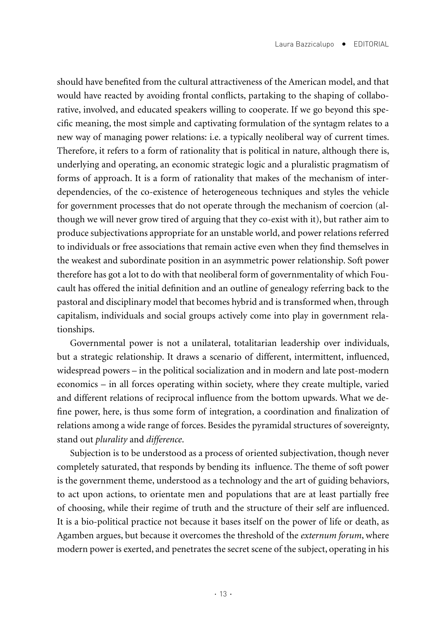should have benefited from the cultural attractiveness of the American model, and that would have reacted by avoiding frontal conflicts, partaking to the shaping of collaborative, involved, and educated speakers willing to cooperate. If we go beyond this specific meaning, the most simple and captivating formulation of the syntagm relates to a new way of managing power relations: i.e. a typically neoliberal way of current times. Therefore, it refers to a form of rationality that is political in nature, although there is, underlying and operating, an economic strategic logic and a pluralistic pragmatism of forms of approach. It is a form of rationality that makes of the mechanism of interdependencies, of the co-existence of heterogeneous techniques and styles the vehicle for government processes that do not operate through the mechanism of coercion (although we will never grow tired of arguing that they co-exist with it), but rather aim to produce subjectivations appropriate for an unstable world, and power relations referred to individuals or free associations that remain active even when they find themselves in the weakest and subordinate position in an asymmetric power relationship. Soft power therefore has got a lot to do with that neoliberal form of governmentality of which Foucault has offered the initial definition and an outline of genealogy referring back to the pastoral and disciplinary model that becomes hybrid and is transformed when, through capitalism, individuals and social groups actively come into play in government relationships.

Governmental power is not a unilateral, totalitarian leadership over individuals, but a strategic relationship. It draws a scenario of different, intermittent, influenced, widespread powers – in the political socialization and in modern and late post-modern economics – in all forces operating within society, where they create multiple, varied and different relations of reciprocal influence from the bottom upwards. What we define power, here, is thus some form of integration, a coordination and finalization of relations among a wide range of forces. Besides the pyramidal structures of sovereignty, stand out *plurality* and *difference*.

Subjection is to be understood as a process of oriented subjectivation, though never completely saturated, that responds by bending its influence. The theme of soft power is the government theme, understood as a technology and the art of guiding behaviors, to act upon actions, to orientate men and populations that are at least partially free of choosing, while their regime of truth and the structure of their self are influenced. It is a bio-political practice not because it bases itself on the power of life or death, as Agamben argues, but because it overcomes the threshold of the *externum forum*, where modern power is exerted, and penetrates the secret scene of the subject, operating in his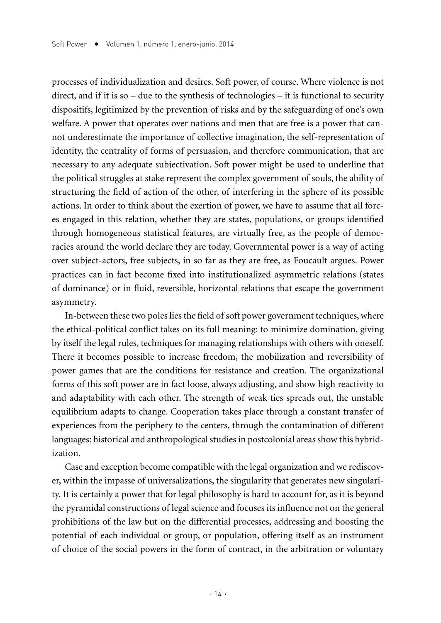processes of individualization and desires. Soft power, of course. Where violence is not direct, and if it is so – due to the synthesis of technologies – it is functional to security dispositifs, legitimized by the prevention of risks and by the safeguarding of one's own welfare. A power that operates over nations and men that are free is a power that cannot underestimate the importance of collective imagination, the self-representation of identity, the centrality of forms of persuasion, and therefore communication, that are necessary to any adequate subjectivation. Soft power might be used to underline that the political struggles at stake represent the complex government of souls, the ability of structuring the field of action of the other, of interfering in the sphere of its possible actions. In order to think about the exertion of power, we have to assume that all forces engaged in this relation, whether they are states, populations, or groups identified through homogeneous statistical features, are virtually free, as the people of democracies around the world declare they are today. Governmental power is a way of acting over subject-actors, free subjects, in so far as they are free, as Foucault argues. Power practices can in fact become fixed into institutionalized asymmetric relations (states of dominance) or in fluid, reversible, horizontal relations that escape the government asymmetry.

In-between these two poles lies the field of soft power government techniques, where the ethical-political conflict takes on its full meaning: to minimize domination, giving by itself the legal rules, techniques for managing relationships with others with oneself. There it becomes possible to increase freedom, the mobilization and reversibility of power games that are the conditions for resistance and creation. The organizational forms of this soft power are in fact loose, always adjusting, and show high reactivity to and adaptability with each other. The strength of weak ties spreads out, the unstable equilibrium adapts to change. Cooperation takes place through a constant transfer of experiences from the periphery to the centers, through the contamination of different languages: historical and anthropological studies in postcolonial areas show this hybridization.

Case and exception become compatible with the legal organization and we rediscover, within the impasse of universalizations, the singularity that generates new singularity. It is certainly a power that for legal philosophy is hard to account for, as it is beyond the pyramidal constructions of legal science and focuses its influence not on the general prohibitions of the law but on the differential processes, addressing and boosting the potential of each individual or group, or population, offering itself as an instrument of choice of the social powers in the form of contract, in the arbitration or voluntary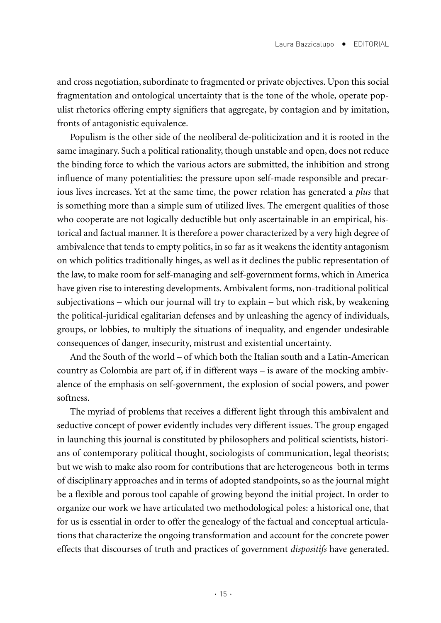and cross negotiation, subordinate to fragmented or private objectives. Upon this social fragmentation and ontological uncertainty that is the tone of the whole, operate populist rhetorics offering empty signifiers that aggregate, by contagion and by imitation, fronts of antagonistic equivalence.

Populism is the other side of the neoliberal de-politicization and it is rooted in the same imaginary. Such a political rationality, though unstable and open, does not reduce the binding force to which the various actors are submitted, the inhibition and strong influence of many potentialities: the pressure upon self-made responsible and precarious lives increases. Yet at the same time, the power relation has generated a *plus* that is something more than a simple sum of utilized lives. The emergent qualities of those who cooperate are not logically deductible but only ascertainable in an empirical, historical and factual manner. It is therefore a power characterized by a very high degree of ambivalence that tends to empty politics, in so far as it weakens the identity antagonism on which politics traditionally hinges, as well as it declines the public representation of the law, to make room for self-managing and self-government forms, which in America have given rise to interesting developments. Ambivalent forms, non-traditional political subjectivations – which our journal will try to explain – but which risk, by weakening the political-juridical egalitarian defenses and by unleashing the agency of individuals, groups, or lobbies, to multiply the situations of inequality, and engender undesirable consequences of danger, insecurity, mistrust and existential uncertainty.

And the South of the world – of which both the Italian south and a Latin-American country as Colombia are part of, if in different ways – is aware of the mocking ambivalence of the emphasis on self-government, the explosion of social powers, and power softness.

The myriad of problems that receives a different light through this ambivalent and seductive concept of power evidently includes very different issues. The group engaged in launching this journal is constituted by philosophers and political scientists, historians of contemporary political thought, sociologists of communication, legal theorists; but we wish to make also room for contributions that are heterogeneous both in terms of disciplinary approaches and in terms of adopted standpoints, so as the journal might be a flexible and porous tool capable of growing beyond the initial project. In order to organize our work we have articulated two methodological poles: a historical one, that for us is essential in order to offer the genealogy of the factual and conceptual articulations that characterize the ongoing transformation and account for the concrete power effects that discourses of truth and practices of government *dispositifs* have generated.